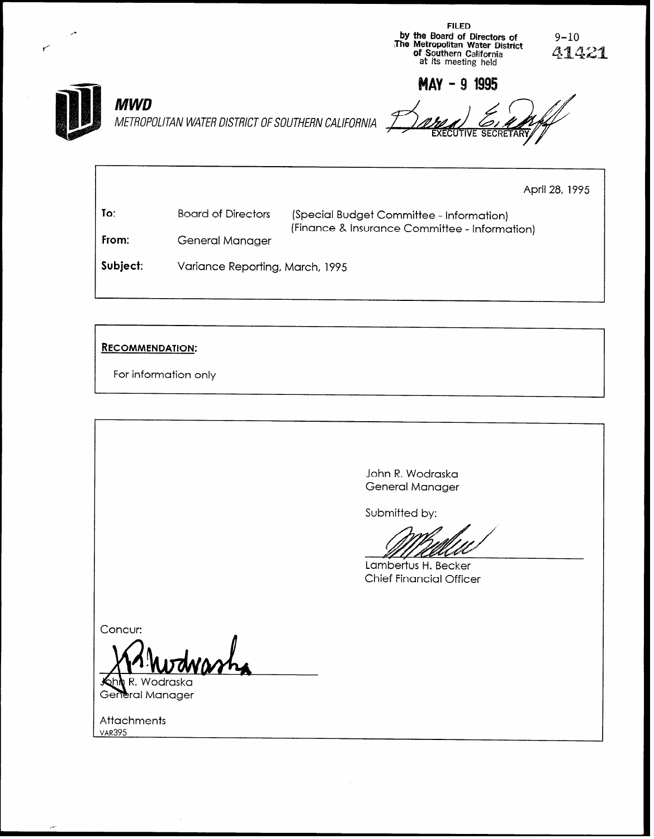

FILED

| To:   | Board of Directors | (Special Budget Committee - Information)      |
|-------|--------------------|-----------------------------------------------|
| From: | General Manager    | (Finance & Insurance Committee - Information) |

Subject: Variance Reporting, March, 1995

#### RECOMMENDATION:

For information only

John R. Wodraska General Manager Submitted by: Lambertus H. Becker Chief Financial Officer Concur: Wodraska General Manager

Attachments<br>VAR395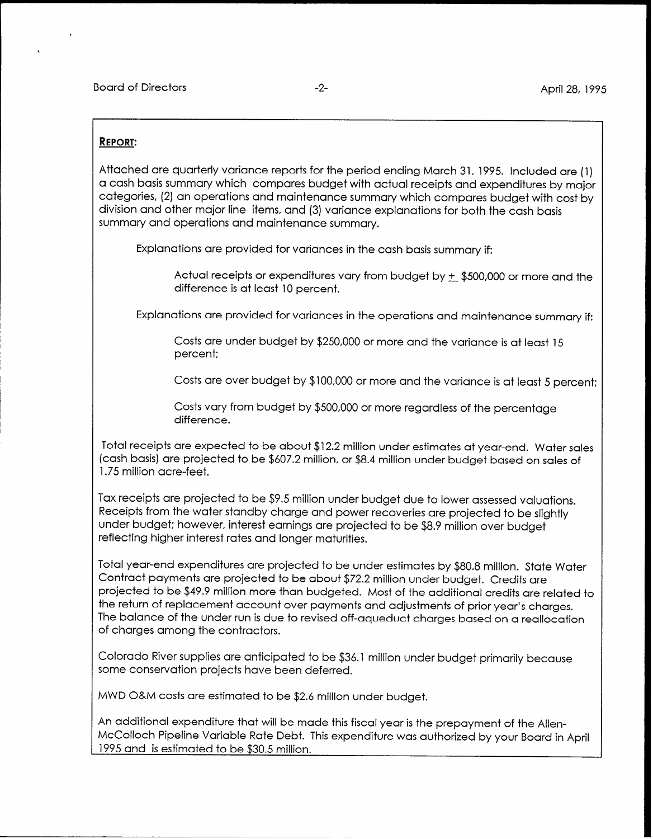#### REPORT:

Attached are quarterly variance reports for the period ending March 31, 1995. Included are (1) a cash basis summary which compares budget with actual receipts and expenditures by major categories, (2) an operations and maintenance summary which compares budget with cost by division and other major line items, and (3) variance explanations for both the cash basis summary and operations and maintenance summary.

Explanations are provided for variances in the cash basis summary if:

Actual receipts or expenditures vary from budget by + \$500,000 or more and the difference is at least 10 percent.

Explanations are provided for variances in the operations and maintenance summary if:

Costs are under budget by \$250,000 or more and the variance is at least 15 percent:

Costs are over budget by \$100,000 or more and the variance is at least 5 percent:

Costs vary from budget by \$500,000 or more regardless of the percentage difference.

Total receipts are expected to be about \$12.2 million under estimates at year-end. Water sales (cash basis) are projected to be \$607.2 million, or \$8.4 million under budget based on sales of 1.75 million acre-feet.

Tax receipts are projected to be \$9.5 million under budget due to lower assessed valuations. Receipts from the water standby charge and power recoveries are projected to be slightly under budget: however, interest earnings are projected to be \$8.9 million over budget reflecting higher interest rates and longer maturities.

Total year-end expenditures are projected to be under estimates by \$80.8 million. State Water Contract payments are projected to be about \$72.2 million under budget. Credits are projected to be \$49.9 million more than budgeted. Most of the additional credits are related to the return of replacement account over payments and adjustments of prior year's charges. The balance of the under run is due to revised off-aqueduct charges based on a reallocation of charges among the contractors.

Colorado River supplies are anticipated to be \$36.1 million under budget primarily because some conservation projects have been deferred.

MWD O&M costs are estimated to be \$2.6 million under budget.

An additional expenditure that will be made this fiscal year is the prepayment of the Allen-McColloch Pipeline Variable Rate Debt. This expenditure was authorized by your Board in April 1995 and is estimated to be \$30.5 million.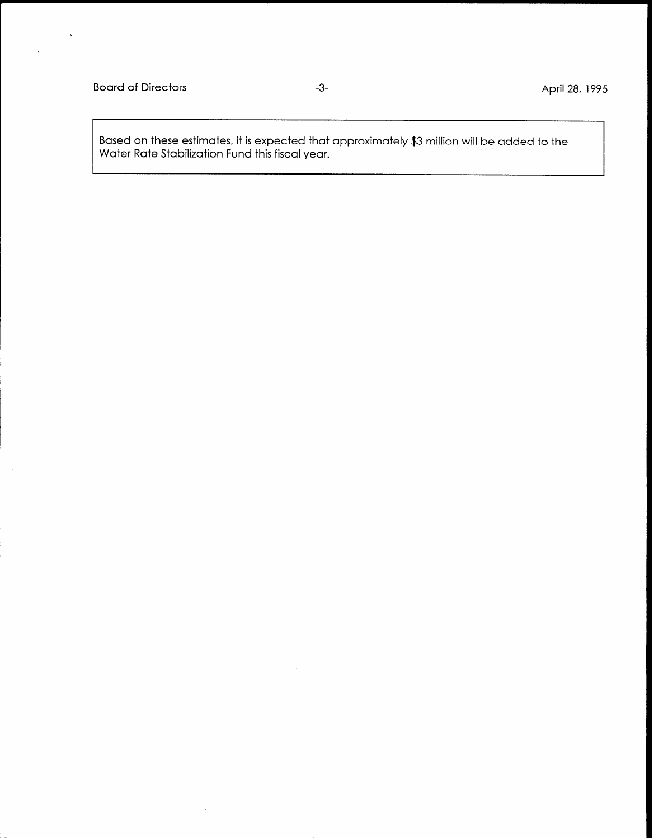$\ddot{\phantom{a}}$ 

Based on these estimates, it is expected that approximately \$3 million will be added to the Water Rate Stabilization Fund this fiscal year.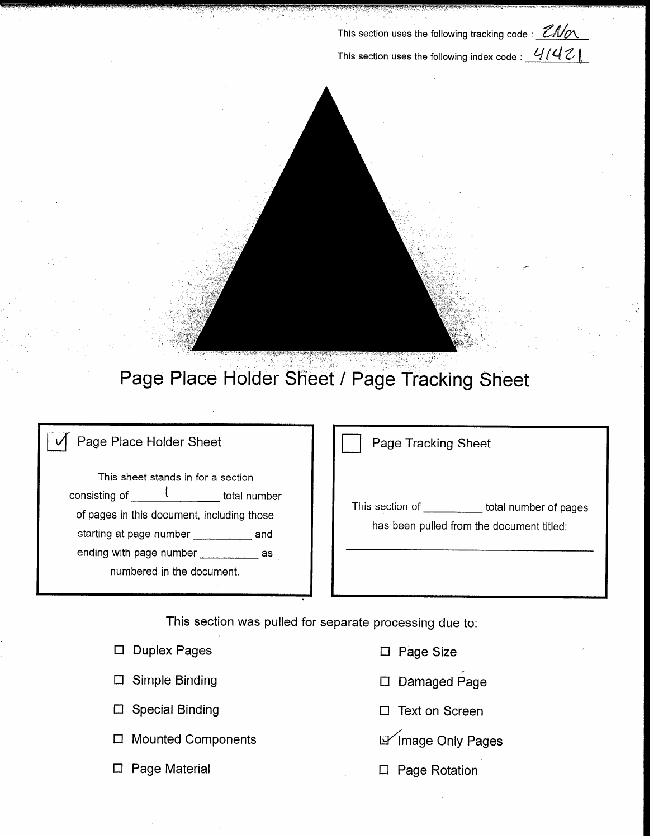This section uses the following tracking code :  $2M\alpha$ This section uses the following index code :  $\frac{\mathcal{U}}{\mathcal{U}}$ 



## Page Place Holder Sheet / Page Tracking Sheet

### $\overrightarrow{v}$  Page Place Holder Sheet

This sheet stands in for a section consisting of  $\frac{1}{\sqrt{1-\frac{1}{\sqrt{1-\frac{1}{\sqrt{1-\frac{1}{\sqrt{1-\frac{1}{\sqrt{1-\frac{1}{\sqrt{1-\frac{1}{\sqrt{1-\frac{1}{\sqrt{1-\frac{1}{\sqrt{1-\frac{1}{\sqrt{1-\frac{1}{\sqrt{1-\frac{1}{\sqrt{1-\frac{1}{\sqrt{1-\frac{1}{\sqrt{1-\frac{1}{\sqrt{1-\frac{1}{\sqrt{1-\frac{1}{\sqrt{1-\frac{1}{\sqrt{1-\frac{1}{\sqrt{1-\frac{1}{\sqrt{1-\frac{1}{\sqrt{1-\frac{1}{\sqrt{1-\frac{1}{\sqrt{$ of pages in this document, including those starting at page number \_\_\_\_\_\_\_\_\_\_\_\_ and ending with page number \_\_\_\_\_\_\_\_\_\_\_\_ as numbered in the document.

Page Tracking Sheet

This section of \_\_\_\_\_\_\_\_\_\_ total number of pages has been pulled from the document titled:

This section was pulled for separate processing due to:

□ Duplex Pages Cl Page Size

 $\square$  Simple Binding

 $\square$  Special Binding

 $\Box$  Mounted Components

 $\square$  Page Material

- 
- cl Damaged Page
- $\Box$  Text on Screen
- If Image Only Pages
- El Page Rotation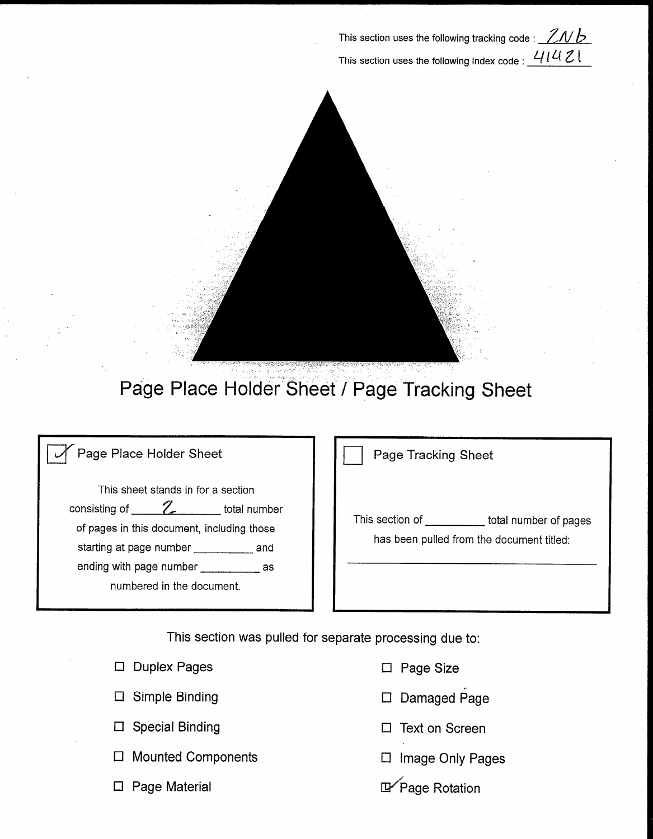This section uses the following tracking code :  $2Nb$ This section uses the following index code :  $41421$ 



## Page Place Holder Sheet / Page Tracking Sheet

### Page Place Holder Sheet

This sheet stands in for a section consisting of  $\frac{Z}{Z}$  total number of pages in this document, including those starting at page number \_\_\_\_\_\_\_\_\_\_\_ and ending with page number \_\_\_\_\_\_\_\_\_\_\_\_ as numbered in the document.

Page Tracking Sheet

This section of \_\_\_\_\_\_\_\_\_\_\_ total number of pages has been pulled from the document titled:

This section was pulled for separate processing due to:

| $\Box$ Duplex Pages       | $\Box$ Page Size      |
|---------------------------|-----------------------|
| $\Box$ Simple Binding     | $\Box$ Damaged Pag    |
| $\Box$ Special Binding    | $\Box$ Text on Screer |
| $\Box$ Mounted Components | $\Box$ Image Only Pa  |
|                           |                       |

- 
- D Damaged Page
- 
- Cl Image Only Pages
- **E**<sup>∕</sup>Page Rotation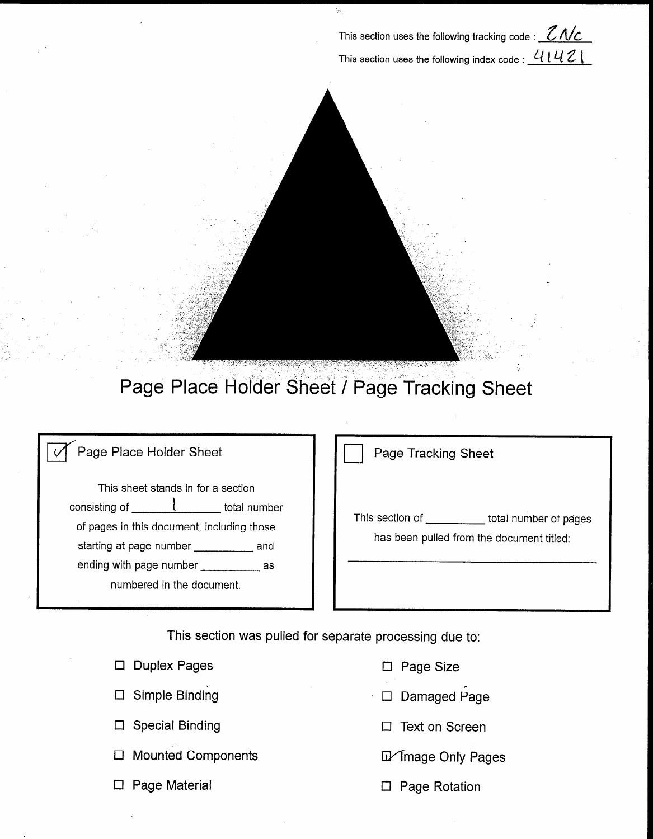This section uses the following tracking code :  $\mathcal{Z}\mathcal{N}\mathcal{L}$ This section uses the following index code :  $4142$ 



# Page Place Holder Sheet / Page Tracking Sheet

### Page Place Holder Sheet

This sheet stands in for a section consisting of  $\frac{1}{\sqrt{1 + \left(1 + \frac{1}{2}\right)}$  total number of pages in this document, including those starting at page number \_\_\_\_\_\_\_\_\_\_\_ and ending with page number \_\_\_\_\_\_\_\_\_\_\_\_ as numbered in the document.

Page Tracking Sheet

This section of \_\_\_\_\_\_\_\_\_\_\_ total number of pages has been pulled from the document titled:

This section was pulled for separate processing due to:

| $\Box$ Duplex Pages    | $\Box$ Page Size            |
|------------------------|-----------------------------|
| $\Box$ Simple Binding  | □ Damaged Page              |
| $\Box$ Special Binding | $\Box$ Text on Screen       |
| □ Mounted Components   | <b>In Timage Only Pages</b> |
|                        |                             |